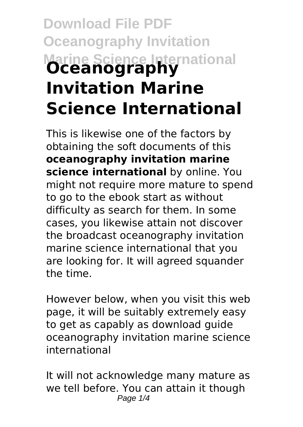# **Download File PDF Oceanography Invitation Marine Science International Oceanography Invitation Marine Science International**

This is likewise one of the factors by obtaining the soft documents of this **oceanography invitation marine science international** by online. You might not require more mature to spend to go to the ebook start as without difficulty as search for them. In some cases, you likewise attain not discover the broadcast oceanography invitation marine science international that you are looking for. It will agreed squander the time.

However below, when you visit this web page, it will be suitably extremely easy to get as capably as download guide oceanography invitation marine science international

It will not acknowledge many mature as we tell before. You can attain it though Page  $1/4$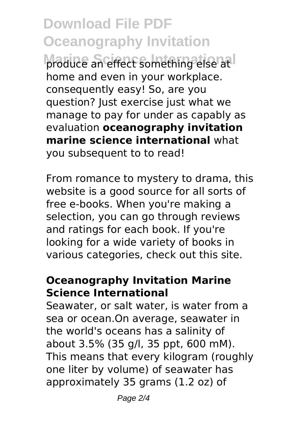**Download File PDF Oceanography Invitation Moduce an effect something else at I** home and even in your workplace. consequently easy! So, are you question? Just exercise just what we manage to pay for under as capably as evaluation **oceanography invitation marine science international** what you subsequent to to read!

From romance to mystery to drama, this website is a good source for all sorts of free e-books. When you're making a selection, you can go through reviews and ratings for each book. If you're looking for a wide variety of books in various categories, check out this site.

#### **Oceanography Invitation Marine Science International**

Seawater, or salt water, is water from a sea or ocean.On average, seawater in the world's oceans has a salinity of about 3.5% (35 g/l, 35 ppt, 600 mM). This means that every kilogram (roughly one liter by volume) of seawater has approximately 35 grams (1.2 oz) of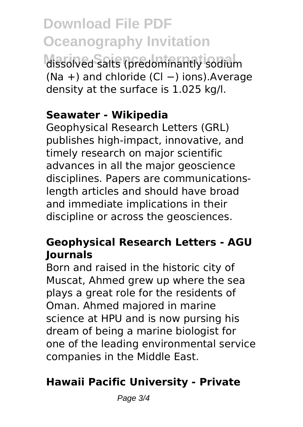**Download File PDF Oceanography Invitation Marine Science International** dissolved salts (predominantly sodium (Na +) and chloride (Cl −) ions).Average density at the surface is 1.025 kg/l.

#### **Seawater - Wikipedia**

Geophysical Research Letters (GRL) publishes high-impact, innovative, and timely research on major scientific advances in all the major geoscience disciplines. Papers are communicationslength articles and should have broad and immediate implications in their discipline or across the geosciences.

### **Geophysical Research Letters - AGU Journals**

Born and raised in the historic city of Muscat, Ahmed grew up where the sea plays a great role for the residents of Oman. Ahmed majored in marine science at HPU and is now pursing his dream of being a marine biologist for one of the leading environmental service companies in the Middle East.

## **Hawaii Pacific University - Private**

Page 3/4